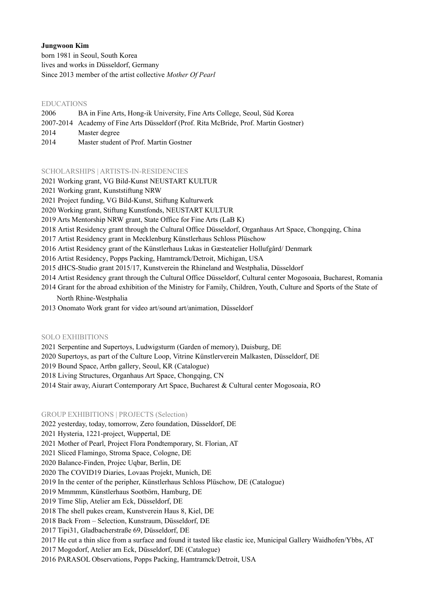# **Jungwoon Kim**

born 1981 in Seoul, South Korea lives and works in Düsseldorf, Germany Since 2013 member of the artist collective *Mother Of Pearl*

## EDUCATIONS

- 2006 BA in Fine Arts, Hong-ik University, Fine Arts College, Seoul, Süd Korea
- 2007-2014 Academy of Fine Arts Düsseldorf (Prof. Rita McBride, Prof. Martin Gostner)
- 2014 Master degree
- 2014 Master student of Prof. Martin Gostner

### SCHOLARSHIPS | ARTISTS-IN-RESIDENCIES

- 2021 Working grant, VG Bild-Kunst NEUSTART KULTUR
- 2021 Working grant, Kunststiftung NRW
- 2021 Project funding, VG Bild-Kunst, Stiftung Kulturwerk
- 2020 Working grant, Stiftung Kunstfonds, NEUSTART KULTUR
- 2019 Arts Mentorship NRW grant, State Office for Fine Arts (LaB K)
- 2018 Artist Residency grant through the Cultural Office Düsseldorf, Organhaus Art Space, Chongqing, China
- 2017 Artist Residency grant in Mecklenburg Künstlerhaus Schloss Plüschow
- 2016 Artist Residency grant of the Künstlerhaus Lukas in Gæsteatelier Hollufgård/ Denmark
- 2016 Artist Residency, Popps Packing, Hamtramck/Detroit, Michigan, USA
- 2015 dHCS-Studio grant 2015/17, Kunstverein the Rhineland and Westphalia, Düsseldorf
- 2014 Artist Residency grant through the Cultural Office Düsseldorf, Cultural center Mogosoaia, Bucharest, Romania
- 2014 Grant for the abroad exhibition of the Ministry for Family, Children, Youth, Culture and Sports of the State of North Rhine-Westphalia
- 2013 Onomato Work grant for video art/sound art/animation, Düsseldorf

### SOLO EXHIBITIONS

- 2021 Serpentine and Supertoys, Ludwigsturm (Garden of memory), Duisburg, DE
- 2020 Supertoys, as part of the Culture Loop, Vitrine Künstlerverein Malkasten, Düsseldorf, DE
- 2019 Bound Space, Artbn gallery, Seoul, KR (Catalogue)
- 2018 Living Structures, Organhaus Art Space, Chongqing, CN
- 2014 Stair away, Aiurart Contemporary Art Space, Bucharest & Cultural center Mogosoaia, RO

## GROUP EXHIBITIONS | PROJECTS (Selection)

- 2022 yesterday, today, tomorrow, Zero foundation, Düsseldorf, DE
- 2021 Hysteria, 1221-project, Wuppertal, DE
- 2021 Mother of Pearl, Project Flora Pondtemporary, St. Florian, AT
- 2021 Sliced Flamingo, Stroma Space, Cologne, DE
- 2020 Balance-Finden, Projec Uqbar, Berlin, DE
- 2020 The COVID19 Diaries, Lovaas Projekt, Munich, DE
- 2019 In the center of the peripher, Künstlerhaus Schloss Plüschow, DE (Catalogue)
- 2019 Mmmmm, Künstlerhaus Sootbörn, Hamburg, DE
- 2019 Time Slip, Atelier am Eck, Düsseldorf, DE
- 2018 The shell pukes cream, Kunstverein Haus 8, Kiel, DE
- 2018 Back From Selection, Kunstraum, Düsseldorf, DE
- 2017 Tipi31, Gladbacherstraße 69, Düsseldorf, DE
- 2017 He cut a thin slice from a surface and found it tasted like elastic ice, Municipal Gallery Waidhofen/Ybbs, AT
- 2017 Mogodorf, Atelier am Eck, Düsseldorf, DE (Catalogue)
- 2016 PARASOL Observations, Popps Packing, Hamtramck/Detroit, USA